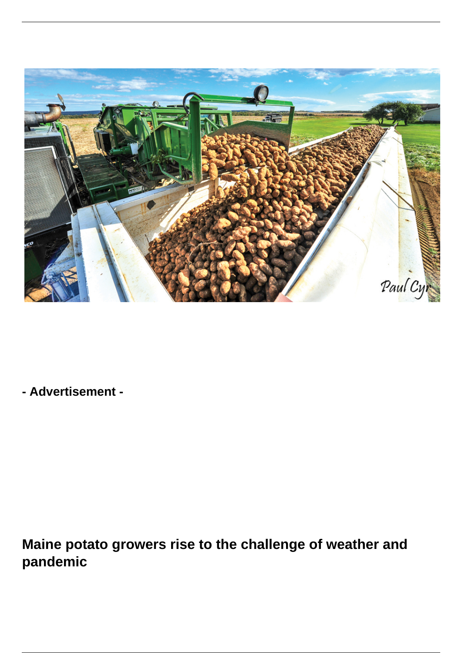

**- Advertisement -**

**Maine potato growers rise to the challenge of weather and pandemic**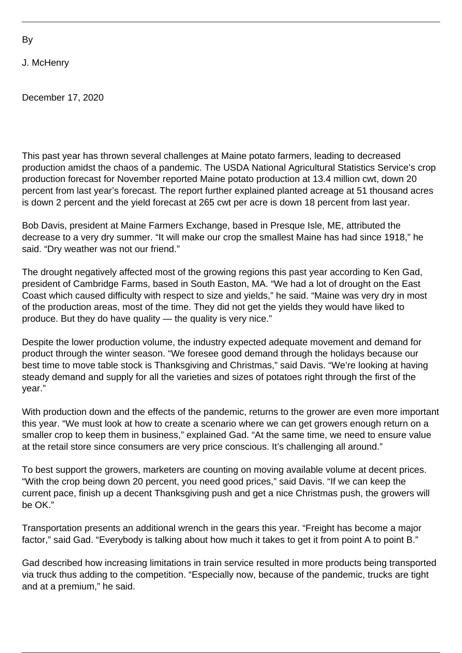J. McHenry

By

December 17, 2020

This past year has thrown several challenges at Maine potato farmers, leading to decreased production amidst the chaos of a pandemic. The USDA National Agricultural Statistics Service's crop production forecast for November reported Maine potato production at 13.4 million cwt, down 20 percent from last year's forecast. The report further explained planted acreage at 51 thousand acres is down 2 percent and the yield forecast at 265 cwt per acre is down 18 percent from last year.

Bob Davis, president at Maine Farmers Exchange, based in Presque Isle, ME, attributed the decrease to a very dry summer. "It will make our crop the smallest Maine has had since 1918," he said. "Dry weather was not our friend."

The drought negatively affected most of the growing regions this past year according to Ken Gad, president of Cambridge Farms, based in South Easton, MA. "We had a lot of drought on the East Coast which caused difficulty with respect to size and yields," he said. "Maine was very dry in most of the production areas, most of the time. They did not get the yields they would have liked to produce. But they do have quality — the quality is very nice."

Despite the lower production volume, the industry expected adequate movement and demand for product through the winter season. "We foresee good demand through the holidays because our best time to move table stock is Thanksgiving and Christmas," said Davis. "We're looking at having steady demand and supply for all the varieties and sizes of potatoes right through the first of the year."

With production down and the effects of the pandemic, returns to the grower are even more important this year. "We must look at how to create a scenario where we can get growers enough return on a smaller crop to keep them in business," explained Gad. "At the same time, we need to ensure value at the retail store since consumers are very price conscious. It's challenging all around."

To best support the growers, marketers are counting on moving available volume at decent prices. "With the crop being down 20 percent, you need good prices," said Davis. "If we can keep the current pace, finish up a decent Thanksgiving push and get a nice Christmas push, the growers will be OK."

Transportation presents an additional wrench in the gears this year. "Freight has become a major factor," said Gad. "Everybody is talking about how much it takes to get it from point A to point B."

Gad described how increasing limitations in train service resulted in more products being transported via truck thus adding to the competition. "Especially now, because of the pandemic, trucks are tight and at a premium," he said.